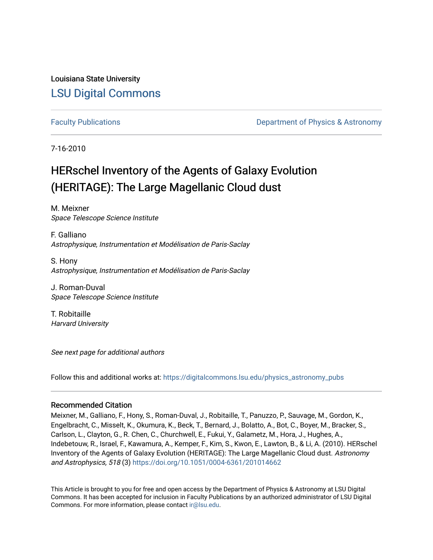Louisiana State University [LSU Digital Commons](https://digitalcommons.lsu.edu/)

[Faculty Publications](https://digitalcommons.lsu.edu/physics_astronomy_pubs) **Example 2** Constant Department of Physics & Astronomy

7-16-2010

# HERschel Inventory of the Agents of Galaxy Evolution (HERITAGE): The Large Magellanic Cloud dust

M. Meixner Space Telescope Science Institute

F. Galliano Astrophysique, Instrumentation et Modélisation de Paris-Saclay

S. Hony Astrophysique, Instrumentation et Modélisation de Paris-Saclay

J. Roman-Duval Space Telescope Science Institute

T. Robitaille Harvard University

See next page for additional authors

Follow this and additional works at: [https://digitalcommons.lsu.edu/physics\\_astronomy\\_pubs](https://digitalcommons.lsu.edu/physics_astronomy_pubs?utm_source=digitalcommons.lsu.edu%2Fphysics_astronomy_pubs%2F864&utm_medium=PDF&utm_campaign=PDFCoverPages) 

# Recommended Citation

Meixner, M., Galliano, F., Hony, S., Roman-Duval, J., Robitaille, T., Panuzzo, P., Sauvage, M., Gordon, K., Engelbracht, C., Misselt, K., Okumura, K., Beck, T., Bernard, J., Bolatto, A., Bot, C., Boyer, M., Bracker, S., Carlson, L., Clayton, G., R. Chen, C., Churchwell, E., Fukui, Y., Galametz, M., Hora, J., Hughes, A., Indebetouw, R., Israel, F., Kawamura, A., Kemper, F., Kim, S., Kwon, E., Lawton, B., & Li, A. (2010). HERschel Inventory of the Agents of Galaxy Evolution (HERITAGE): The Large Magellanic Cloud dust. Astronomy and Astrophysics, 518 (3) <https://doi.org/10.1051/0004-6361/201014662>

This Article is brought to you for free and open access by the Department of Physics & Astronomy at LSU Digital Commons. It has been accepted for inclusion in Faculty Publications by an authorized administrator of LSU Digital Commons. For more information, please contact [ir@lsu.edu](mailto:ir@lsu.edu).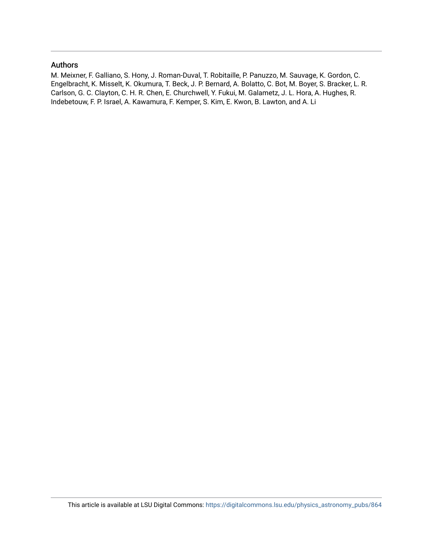# Authors

M. Meixner, F. Galliano, S. Hony, J. Roman-Duval, T. Robitaille, P. Panuzzo, M. Sauvage, K. Gordon, C. Engelbracht, K. Misselt, K. Okumura, T. Beck, J. P. Bernard, A. Bolatto, C. Bot, M. Boyer, S. Bracker, L. R. Carlson, G. C. Clayton, C. H. R. Chen, E. Churchwell, Y. Fukui, M. Galametz, J. L. Hora, A. Hughes, R. Indebetouw, F. P. Israel, A. Kawamura, F. Kemper, S. Kim, E. Kwon, B. Lawton, and A. Li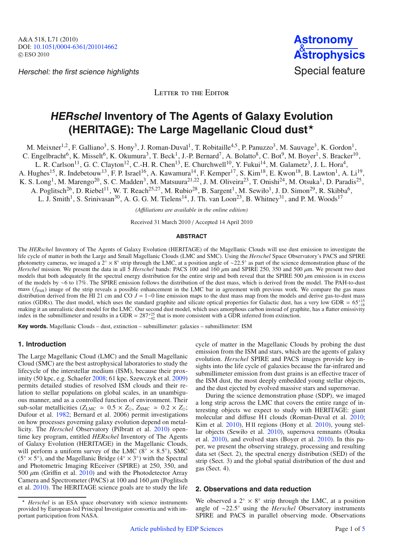Herschel: the first science highlights Special feature



LETTER TO THE EDITOR

# **HERschel Inventory of The Agents of Galaxy Evolution (HERITAGE): The Large Magellanic Cloud dust**-

M. Meixner<sup>1,2</sup>, F. Galliano<sup>3</sup>, S. Hony<sup>3</sup>, J. Roman-Duval<sup>1</sup>, T. Robitaille<sup>4,5</sup>, P. Panuzzo<sup>3</sup>, M. Sauvage<sup>3</sup>, K. Gordon<sup>1</sup>,

C. Engelbracht<sup>6</sup>, K. Misselt<sup>6</sup>, K. Okumura<sup>3</sup>, T. Beck<sup>1</sup>, J.-P. Bernard<sup>7</sup>, A. Bolatto<sup>8</sup>, C. Bot<sup>9</sup>, M. Boyer<sup>1</sup>, S. Bracker<sup>10</sup>,

L. R. Carlson<sup>11</sup>, G. C. Clayton<sup>12</sup>, C.-H. R. Chen<sup>13</sup>, E. Churchwell<sup>10</sup>, Y. Fukui<sup>14</sup>, M. Galametz<sup>3</sup>, J. L. Hora<sup>4</sup>,

A. Hughes<sup>15</sup>, R. Indebetouw<sup>13</sup>, F. P. Israel<sup>16</sup>, A. Kawamura<sup>14</sup>, F. Kemper<sup>17</sup>, S. Kim<sup>18</sup>, E. Kwon<sup>18</sup>, B. Lawton<sup>1</sup>, A. Li<sup>19</sup>,

K. S. Long<sup>1</sup>, M. Marengo<sup>20</sup>, S. C. Madden<sup>3</sup>, M. Matsuura<sup>21,22</sup>, J. M. Oliveira<sup>23</sup>, T. Onishi<sup>24</sup>, M. Otsuka<sup>1</sup>, D. Paradis<sup>25</sup>,

A. Poglitsch<sup>26</sup>, D. Riebel<sup>11</sup>, W. T. Reach<sup>25,27</sup>, M. Rubio<sup>28</sup>, B. Sargent<sup>1</sup>, M. Sewiło<sup>1</sup>, J. D. Simon<sup>29</sup>, R. Skibba<sup>6</sup>,

L. J. Smith<sup>1</sup>, S. Srinivasan<sup>30</sup>, A. G. G. M. Tielens<sup>14</sup>, J. Th. van Loon<sup>23</sup>, B. Whitney<sup>31</sup>, and P. M. Woods<sup>17</sup>

*(A*ffi*liations are available in the online edition)*

Received 31 March 2010 / Accepted 14 April 2010

#### **ABSTRACT**

The *HERschel* Inventory of The Agents of Galaxy Evolution (HERITAGE) of the Magellanic Clouds will use dust emission to investigate the life cycle of matter in both the Large and Small Magellanic Clouds (LMC and SMC). Using the *Herschel* Space Observatory's PACS and SPIRE photometry cameras, we imaged a 2◦ × 8◦ strip through the LMC, at a position angle of ∼22.5◦ as part of the science demonstration phase of the *Herschel* mission. We present the data in all 5 *Herschel* bands: PACS 100 and 160 μm and SPIRE 250, 350 and 500 μm. We present two dust models that both adequately fit the spectral energy distribution for the entire strip and both reveal that the SPIRE 500  $\mu$ m emission is in excess of the models by ∼6 to 17%. The SPIRE emission follows the distribution of the dust mass, which is derived from the model. The PAH-to-dust mass  $(f_{PAH})$  image of the strip reveals a possible enhancement in the LMC bar in agreement with previous work. We compare the gas mass distribution derived from the HI 21 cm and CO *J* = 1−0 line emission maps to the dust mass map from the models and derive gas-to-dust mass ratios (GDRs). The dust model, which uses the standard graphite and silicate optical properties for Galactic dust, has a very low GDR =  $65^{+15}_{-18}$ making it an unrealistic dust model for the LMC. Our second dust model, which uses amorphous carbon instead of graphite, has a flatter emissivity making it an unrealistic dust model for the LMC. Our second dust model, whi index in the submillimeter and results in a GDR =  $287^{+25}_{-42}$  that is more consistent with a GDR inferred from extinction.

**Key words.** Magellanic Clouds – dust, extinction – submillimeter: galaxies – submillimeter: ISM

# **1. Introduction**

The Large Magellanic Cloud (LMC) and the Small Magellanic Cloud (SMC) are the best astrophysical laboratories to study the lifecycle of the interstellar medium (ISM), because their proximity (50 kpc, e.g. Schaefer [2008;](#page-5-0) 61 kpc, Szewczyk et al. [2009\)](#page-5-1) permits detailed studies of resolved ISM clouds and their relation to stellar populations on global scales, in an unambiguous manner, and as a controlled function of environment. Their sub-solar metallicities ( $Z_{LMC} \approx 0.5 \times Z_{\odot}$ ,  $Z_{SMC} \approx 0.2 \times Z_{\odot}$ ; Dufour et al. [1982;](#page-5-2) Bernard et al. 2006) permit investigations on how processes governing galaxy evolution depend on metallicity. The *Herschel* Observatory (Pilbratt et al. [2010\)](#page-5-3) opentime key program, entitled *HERschel* Inventory of The Agents of Galaxy Evolution (HERITAGE) in the Magellanic Clouds, will perform a uniform survey of the LMC ( $8° \times 8.5°$ ), SMC  $(5° \times 5°)$ , and the Magellanic Bridge ( $4° \times 3°$ ) with the Spectral and Photometric Imaging REceiver (SPIRE) at 250, 350, and 500  $\mu$ m (Griffin et al. [2010\)](#page-5-4) and with the Photodetector Array Camera and Spectrometer (PACS) at 100 and 160  $\mu$ m (Poglitsch et al. [2010\)](#page-5-5). The HERITAGE science goals are to study the life cycle of matter in the Magellanic Clouds by probing the dust emission from the ISM and stars, which are the agents of galaxy evolution. *Herschel* SPIRE and PACS images provide key insights into the life cycle of galaxies because the far-infrared and submillimeter emission from dust grains is an effective tracer of the ISM dust, the most deeply embedded young stellar objects, and the dust ejected by evolved massive stars and supernovae.

During the science demonstration phase (SDP), we imaged a long strip across the LMC that covers the entire range of interesting objects we expect to study with HERITAGE: giant molecular and diffuse HI clouds (Roman-Duval et al. [2010;](#page-5-6) Kim et al. [2010\)](#page-5-7), H II regions (Hony et al. [2010\)](#page-5-8), young stellar objects (Sewiło et al. [2010\)](#page-5-9), supernova remnants (Otsuka et al. [2010\)](#page-5-10), and evolved stars (Boyer et al. [2010\)](#page-5-11). In this paper, we present the observing strategy, processing and resulting data set (Sect. 2), the spectral energy distribution (SED) of the strip (Sect. 3) and the global spatial distribution of the dust and gas (Sect. 4).

# **2. Observations and data reduction**

We observed a  $2° \times 8°$  strip through the LMC, at a position angle of ∼22.5◦ using the *Herschel* Observatory instruments SPIRE and PACS in parallel observing mode. Observations

<sup>-</sup> *Herschel* is an ESA space observatory with science instruments provided by European-led Principal Investigator consortia and with important participation from NASA.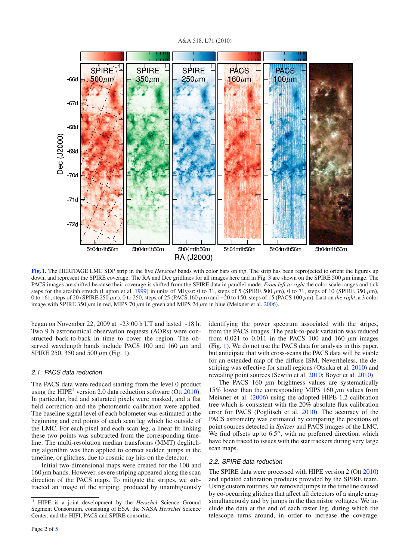



<span id="page-3-0"></span>**[Fig. 1.](http://dexter.edpsciences.org/applet.php?DOI=10.1051/0004-6361/201014662&pdf_id=1)** The HERITAGE LMC SDP strip in the five *Herschel* bands with color bars on *top*. The strip has been reprojected to orient the figures up down, and represent the SPIRE coverage. The RA and Dec gridlines for all images here and in Fig. [3](#page-5-12) are shown on the SPIRE 500 μm image. The PACS images are shifted because their coverage is shifted from the SPIRE data in parallel mode. *From left to right* the color scale ranges and tick steps for the arcsinh stretch (Lupton et al. [1999\)](#page-5-13) in units of MJy/sr: 0 to 31, steps of 5 (SPIRE 500  $\mu$ m), 0 to 71, steps of 10 (SPIRE 350  $\mu$ m), 0 to 161, steps of 20 (SPIRE 250 μm), 0 to 250, steps of 25 (PACS 160 μm) and −20 to 150, steps of 15 (PACS 100 μm). Last on *the right*, a 3 color image with SPIRE 350  $\mu$ m in red, MIPS 70  $\mu$ m in green and MIPS 24  $\mu$ m in blue (Meixner et al. [2006\)](#page-5-14).

began on November 22, 2009 at ∼23:00 h UT and lasted ∼18 h. Two 9 h astronomical observation requests (AORs) were constructed back-to-back in time to cover the region. The observed wavelength bands include PACS 100 and 160  $\mu$ m and SPIRE 250, 350 and 500  $\mu$ m (Fig. [1\)](#page-3-0).

### 2.1. PACS data reduction

<span id="page-3-1"></span>The PACS data were reduced starting from the level 0 product using the HIPE<sup>[1](#page-3-1)</sup> version 2.0 data reduction software (Ott  $2010$ ). In particular, bad and saturated pixels were masked, and a flat field correction and the photometric calibration were applied. The baseline signal level of each bolometer was estimated at the beginning and end points of each scan leg which lie outside of the LMC. For each pixel and each scan leg, a linear fit linking these two points was subtracted from the corresponding timeline. The multi-resolution median transforms (MMT) deglitching algorithm was then applied to correct sudden jumps in the timeline, or glitches, due to cosmic ray hits on the detector.

Initial two-dimensional maps were created for the 100 and  $160 \mu$ m bands. However, severe striping appeared along the scan direction of the PACS maps. To mitigate the stripes, we subtracted an image of the striping, produced by unambiguously identifying the power spectrum associated with the stripes, from the PACS images. The peak-to-peak variation was reduced from 0.021 to 0.011 in the PACS 100 and 160  $\mu$ m images (Fig. [1\)](#page-3-0). We do not use the PACS data for analysis in this paper, but anticipate that with cross-scans the PACS data will be viable for an extended map of the diffuse ISM. Nevertheless, the destriping was effective for small regions (Otsuka et al. [2010\)](#page-5-10) and revealing point sources (Sewiło et al. [2010;](#page-5-9) Boyer et al. [2010\)](#page-5-11).

The PACS 160  $\mu$ m brightness values are systematically 15% lower than the corresponding MIPS 160  $μ$ m values from Meixner et al. [\(2006\)](#page-5-14) using the adopted HIPE 1.2 calibration tree which is consistent with the 20% absolute flux calibration error for PACS (Poglitsch et al. [2010\)](#page-5-5). The accuracy of the PACS astrometry was estimated by comparing the positions of point sources detected in *Spitzer* and PACS images of the LMC. We find offsets up to  $6.5$ ", with no preferred direction, which have been traced to issues with the star trackers during very large scan maps.

## 2.2. SPIRE data reduction

The SPIRE data were processed with HIPE version 2 (Ott [2010\)](#page-5-15) and updated calibration products provided by the SPIRE team. Using custom routines, we removed jumps in the timeline caused by co-occurring glitches that affect all detectors of a single array simultaneously and by jumps in the thermistor voltages. We include the data at the end of each raster leg, during which the telescope turns around, in order to increase the coverage.

<sup>1</sup> HIPE is a joint development by the *Herschel* Science Ground Segment Consortium, consisting of ESA, the NASA *Herschel* Science Center, and the HIFI, PACS and SPIRE consortia.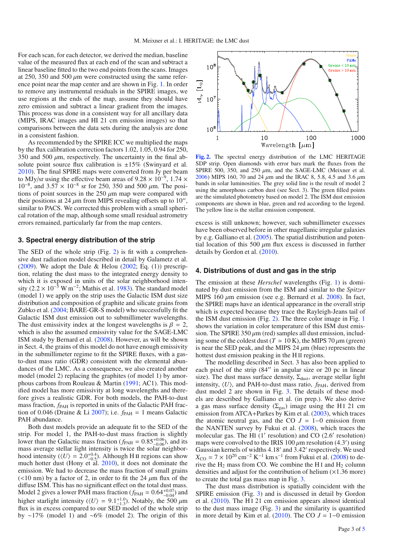For each scan, for each detector, we derived the median, baseline value of the measured flux at each end of the scan and subtract a linear baseline fitted to the two end points from the scans. Images at 250, 350 and 500  $\mu$ m were constructed using the same reference point near the map center and are shown in Fig. [1.](#page-3-0) In order to remove any instrumental residuals in the SPIRE images, we use regions at the ends of the map, assume they should have zero emission and subtract a linear gradient from the images. This process was done in a consistent way for all ancillary data (MIPS, IRAC images and HI 21 cm emission images) so that comparisons between the data sets during the analysis are done in a consistent fashion.

As recommended by the SPIRE ICC we multiplied the maps by the flux calibration correction factors 1.02, 1.05, 0.94 for 250, 350 and 500  $\mu$ m, respectively. The uncertainty in the final absolute point source flux calibration is  $\pm 15\%$  (Swinyard et al. [2010\)](#page-5-16). The final SPIRE maps were converted from Jy per beam to MJy/sr using the effective beam areas of  $9.28 \times 10^{-9}$ ,  $1.74 \times$  $10^{-8}$ , and  $3.57 \times 10^{-8}$  sr for 250, 350 and 500  $\mu$ m. The positions of point sources in the 250  $\mu$ m map were compared with their positions at 24  $\mu$ m from MIPS revealing offsets up to 10". similar to PACS. We corrected this problem with a small spherical rotation of the map, although some small residual astrometry errors remained, particularly far from the map centers.

#### **3. Spectral energy distribution of the strip**

The SED of the whole strip (Fig. [2\)](#page-4-0) is fit with a comprehensive dust radiation model described in detail by Galametz et al. [\(2009\)](#page-5-17). We adopt the Dale & Helou [\(2002;](#page-5-18) Eq. (1)) prescription, relating the dust mass to the integrated energy density to which it is exposed in units of the solar neighborhood inten-sity (2.2 × 10<sup>-5</sup> W m<sup>-2</sup>; Mathis et al. [1983\)](#page-5-19). The standard model (model 1) we apply on the strip uses the Galactic ISM dust size distribution and composition of graphite and silicate grains from Zubko et al. [\(2004;](#page-5-20) BARE-GR-S model) who successfully fit the Galactic ISM dust emission out to submillimeter wavelengths. The dust emissivity index at the longest wavelengths is  $\beta = 2$ , which is also the assumed emissivity value for the SAGE-LMC ISM study by Bernard et al. [\(2008\)](#page-5-21). However, as will be shown in Sect. 4, the grains of this model do not have enough emissivity in the submillimeter regime to fit the SPIRE fluxes, with a gasto-dust mass ratio (GDR) consistent with the elemental abundances of the LMC. As a consequence, we also created another model (model 2) replacing the graphites (of model 1) by amorphous carbons from Rouleau & Martin [\(1991;](#page-5-22) AC1). This modified model has more emissivity at long wavelengths and therefore gives a realistic GDR. For both models, the PAH-to-dust mass fraction,  $f_{PAH}$  is reported in units of the Galactic PAH frac-tion of 0.046 (Draine & Li [2007\)](#page-5-23); i.e.  $f_{PAH} = 1$  means Galactic PAH abundance.

Both dust models provide an adequate fit to the SED of the strip. For model 1, the PAH-to-dust mass fraction is slightly lower than the Galactic mass fraction  $(f_{PAH} = 0.85^{+0.06})$ , and its mass guarage stallar light intensity is twise the selection sighter mass average stellar light intensity is twice the solar neighborhood intensity  $(\langle U \rangle = 2.0^{+0.4}_{-0.5})$ . Although H II regions can show much hotter dust (Hony et  $a$ l. [2010\)](#page-5-8), it does not dominate the emission. We had to decrease the mass fraction of small grains  $(<10 \text{ nm}$ ) by a factor of 2, in order to fit the 24  $\mu$ m flux of the diffuse ISM. This has no significant effect on the total dust mass. Model 2 gives a lower PAH mass fraction  $(f_{PAH} = 0.64^{+0.07}_{-0.04})$  and higher starlight intensity ( $\langle U \rangle = 9.1^{+1.0}_{-1.3}$ ). Notably, the 500  $\mu$ m flux is in excess compared to our SED model of the whole strip by ∼17% (model 1) and ∼6% (model 2). The origin of this

<span id="page-4-0"></span>

**[Fig. 2.](http://dexter.edpsciences.org/applet.php?DOI=10.1051/0004-6361/201014662&pdf_id=2)** The spectral energy distribution of the LMC HERITAGE SDP strip. Open diamonds with error bars mark the fluxes from the SPIRE 500, 350, and 250  $\mu$ m, and the SAGE-LMC (Meixner et al. [2006\)](#page-5-14) MIPS 160, 70 and 24  $\mu$ m and the IRAC 8, 5.8, 4.5 and 3.6  $\mu$ m bands in solar luminosities. The grey solid line is the result of model 2 using the amorphous carbon dust (see Sect. 3). The green filled points are the simulated photometry based on model 2. The ISM dust emission components are shown in blue, green and red according to the legend. The yellow line is the stellar emission component.

excess is still unknown; however, such submillimeter excesses have been observed before in other magellanic irregular galaxies by e.g. Galliano et al. [\(2005\)](#page-5-24). The spatial distribution and potential location of this 500 μm flux excess is discussed in further details by Gordon et al. [\(2010\)](#page-5-25).

#### **4. Distributions of dust and gas in the strip**

The emission at these *Herschel* wavelengths (Fig. [1\)](#page-3-0) is dominated by dust emission from the ISM and similar to the *Spitzer* MIPS 160  $\mu$ m emission (see e.g. Bernard et al. [2008\)](#page-5-21). In fact, the SPIRE maps have an identical appearance in the overall strip which is expected because they trace the Rayleigh-Jeans tail of the ISM dust emission (Fig. [2\)](#page-4-0). The three color image in Fig. [1](#page-3-0) shows the variation in color temperature of this ISM dust emission. The SPIRE 350  $\mu$ m (red) samples all dust emission, including some of the coldest dust ( $T \approx 10 \text{ K}$ ), the MIPS 70  $\mu$ m (green) is near the SED peak, and the MIPS 24  $\mu$ m (blue) represents the hottest dust emission peaking in the H II regions.

The modelling described in Sect. 3 has also been applied to each pixel of the strip (84" in angular size or 20 pc in linear size). The dust mass surface density,  $\Sigma_{\text{dust}}$ , average stellar light intensity,  $\langle U \rangle$ , and PAH-to-dust mass ratio,  $f_{PAH}$ , derived from dust model 2 are shown in Fig. [3.](#page-5-12) The details of these models are described by Galliano et al. (in prep.). We also derive a gas mass surface density ( $\Sigma_{\text{gas}}$ ) image using the HI 21 cm emission from ATCA+Parkes by Kim et al. [\(2003\)](#page-5-26), which traces the atomic neutral gas, and the CO  $J = 1-0$  emission from the NANTEN survey by Fukui et al. [\(2008\)](#page-5-27), which traces the molecular gas. The HI  $(1')$  resolution) and CO  $(2.6')$  resolution) maps were convolved to the IRIS 100  $\mu$ m resolution (4.3') using Gaussian kernels of widths 4.18' and 3.42' respectively. We used  $X_{\text{CO}} = 7 \times 10^{20} \text{ cm}^{-2} \text{ K}^{-1} \text{ km s}^{-1}$  from Fukui et al. [\(2008\)](#page-5-27) to derive the  $H_2$  mass from CO. We combine the H<sub>I</sub> and  $H_2$  column densities and adjust for the contribution of helium  $(\times 1.36$  more) to create the total gas mass map in Fig. [3.](#page-5-12)

The dust mass distribution is spatially coincident with the SPIRE emission (Fig. [3\)](#page-5-12) and is discussed in detail by Gordon et al. [\(2010\)](#page-5-25). The H<sub>I</sub> 21 cm emission appears almost identical to the dust mass image (Fig. [3\)](#page-5-12) and the similarity is quantified in more detail by Kim et al.  $(2010)$ . The CO  $J = 1-0$  emission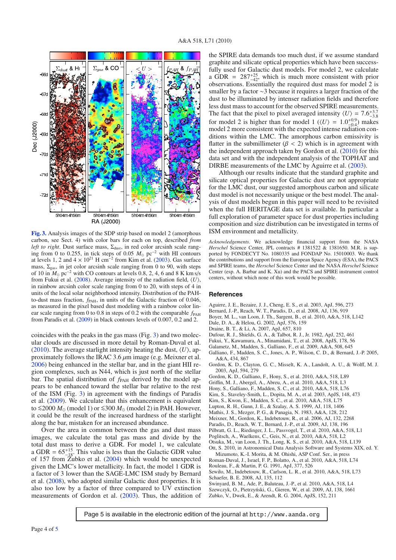<span id="page-5-12"></span>

**[Fig. 3.](http://dexter.edpsciences.org/applet.php?DOI=10.1051/0004-6361/201014662&pdf_id=3)** Analysis images of the SDP strip based on model 2 (amorphous carbon, see Sect. 4) with color bars for each on top, described *from left to right*. Dust surface mass, Σ<sub>dust</sub>, in red color arcsinh scale ranging from 0 to 0.255, in tick steps of 0.05  $M_{\odot}$  pc<sup>−2</sup> with HI contours at levels 1, 2 and  $4 \times 10^{21}$  H cm<sup>-2</sup> from Kim et al. [\(2003\)](#page-5-26). Gas surface mass,  $\Sigma_{\text{gas}}$ , in jet color arcsinh scale ranging from 0 to 90, with steps of 10 in  $M_{\odot}$  pc<sup>-2</sup> with CO contours at levels 0.8, 2, 4, 6 and 8 K km s/s from Fukui et al.  $(2008)$ . Average intensity of the radiation field,  $\langle U \rangle$ , in rainbow arcsinh color scale ranging from 0 to 20, with steps of 4 in units of the local solar neighborhood intensity. Distribution of the PAHto-dust mass fraction,  $f_{\text{PAH}}$ , in units of the Galactic fraction of 0.046, as measured in the pixel based dust modeling with a rainbow color linear scale ranging from 0 to 0.8 in steps of 0.2 with the comparable  $f_{\rm PAH}$ from Paradis et al. [\(2009\)](#page-5-28) in black contours levels of 0.007, 0.2 and 2.

coincides with the peaks in the gas mass (Fig. [3\)](#page-5-12) and two molecular clouds are discussed in more detail by Roman-Duval et al. [\(2010\)](#page-5-6). The average starlight intensity heating the dust,  $\langle U \rangle$ , approximately follows the IRAC 3.6  $\mu$ m image (e.g. Meixner et al. [2006\)](#page-5-14) being enhanced in the stellar bar, and in the giant HII region complexes, such as N44, which is just north of the stellar bar. The spatial distribution of  $f_{PAH}$  derived by the model appears to be enhanced toward the stellar bar relative to the rest of the ISM (Fig. [3\)](#page-5-12) in agreement with the findings of Paradis et al. [\(2009\)](#page-5-28). We calculate that this enhancement is equivalent to  $\leq$ 2000  $M_{\odot}$  (model 1) or  $\leq$ 300  $M_{\odot}$  (model 2) in PAH. However, it could be the result of the increased hardness of the starlight along the bar, mistaken for an increased abundance.

Over the area in common between the gas and dust mass images, we calculate the total gas mass and divide by the total dust mass to derive a GDR. For model 1, we calculate a GDR =  $65^{+15}_{-18}$ . This value is less than the Galactic GDR value of 157 from Zubko et al. [\(2004\)](#page-5-20) which would be unexpected given the LMC's lower metallicity. In fact, the model 1 GDR is a factor of 3 lower than the SAGE-LMC ISM study by Bernard et al. [\(2008\)](#page-5-21), who adopted similar Galactic dust properties. It is also too low by a factor of three compared to UV extinction measurements of Gordon et al. [\(2003\)](#page-5-29). Thus, the addition of the SPIRE data demands too much dust, if we assume standard graphite and silicate optical properties which have been successfully used for Galactic dust models. For model 2, we calculate a GDR =  $287^{+25}_{-42}$ , which is much more consistent with prior observations. Essentially the required dust mass for model 2 is smaller by a factor ∼3 because it requires a larger fraction of the dust to be illuminated by intenser radiation fields and therefore less dust mass to account for the observed SPIRE measurements. The fact that the pixel to pixel averaged intensity  $\langle U \rangle = 7.6^{+3.7}_{-3.8}$ for model 2 is higher than for model 1 ( $\langle U \rangle = 1.0_{-0.4}^{+0.9}$ ) makes model 2 more consistent with the expected intense radiation conditions within the LMC. The amorphous carbon emissivity is flatter in the submillimeter ( $\beta$  < 2) which is in agreement with the independent approach taken by Gordon et al.  $(2010)$  for this data set and with the independent analysis of the TOPHAT and DIRBE measurements of the LMC by Aguirre et al. [\(2003\)](#page-5-30).

<span id="page-5-30"></span>Although our results indicate that the standard graphite and silicate optical properties for Galactic dust are not appropriate for the LMC dust, our suggested amorphous carbon and silicate dust model is not necessarily unique or the best model. The analysis of dust models begun in this paper will need to be revisited when the full HERITAGE data set is available. In particular a full exploration of parameter space for dust properties including composition and size distribution can be investigated in terms of ISM environment and metallicity.

<span id="page-5-29"></span><span id="page-5-27"></span><span id="page-5-24"></span><span id="page-5-23"></span><span id="page-5-21"></span><span id="page-5-18"></span><span id="page-5-17"></span><span id="page-5-11"></span><span id="page-5-2"></span>*Acknowledgements.* We acknowledge financial support from the NASA *Herschel* Science Center, JPL contracts # 1381522 & 1381650. M.R. is supported by FONDECYT No. 1080335 and FONDAP No. 15010003. We thank the contributions and support from the European Space Agency (ESA), the PACS and SPIRE teams, the *Herschel* Science Center and the NASA *Herschel* Science Center (esp. A. Barbar and K. Xu) and the PACS and SPIRE instrument control centers, without which none of this work would be possible.

#### <span id="page-5-26"></span><span id="page-5-25"></span><span id="page-5-8"></span><span id="page-5-7"></span><span id="page-5-4"></span>**References**

- Aguirre, J. E., Bezaire, J. J., Cheng, E. S., et al. 2003, ApJ, 596, 273
- <span id="page-5-19"></span><span id="page-5-13"></span>Bernard, J.-P., Reach, W. T., Paradis, D., et al. 2008, AJ, 136, 919
- Boyer, M. L., van Loon, J. Th., Sargent, B., et al. 2010, A&A, 518, L142
- <span id="page-5-14"></span>Dale, D. A., & Helou, G. 2002, ApJ, 576, 159
- <span id="page-5-28"></span>Draine, B. T., & Li, A. 2007, ApJ, 657, 810
- <span id="page-5-5"></span><span id="page-5-3"></span>Dufour, R. J., Shields, G. A., & Talbot, R. J., Jr. 1982, ApJ, 252, 461
- <span id="page-5-10"></span>Fukui, Y., Kawamura, A., Minamidani, T., et al. 2008, ApJS, 178, 56
- <span id="page-5-15"></span>Galametz, M., Madden, S., Galliano, F., et al. 2009, A&A, 508, 645
- Galliano, F., Madden, S. C., Jones, A. P., Wilson, C. D., & Bernard, J.-P. 2005, A&A, 434, 867
- <span id="page-5-22"></span><span id="page-5-6"></span>Gordon, K. D., Clayton, G. C., Misselt, K. A., Landolt, A. U., & Wolff, M. J. 2003, ApJ, 594, 279
- <span id="page-5-9"></span>Gordon, K. D., Galliano, F., Hony, S., et al. 2010, A&A, 518, L89
- <span id="page-5-0"></span>Griffin, M. J., Abergel, A., Abreu, A., et al. 2010, A&A, 518, L3
- <span id="page-5-16"></span>Hony, S., Galliano, F., Madden, S. C., et al. 2010, A&A, 518, L76
- <span id="page-5-20"></span><span id="page-5-1"></span>Kim, S., Staveley-Smith, L., Dopita, M. A., et al. 2003, ApJS, 148, 473
- Kim, S., Kwon, E., Madden, S. C., et al. 2010, A&A, 518, L75
- Lupton, R. H., Gunn, J. E., & Szalay, A. S. 1999, AJ, 118, 1406
- Mathis, J. S., Mezger, P. G., & Panagia, N. 1983, A&A, 128, 212
- Meixner, M., Gordon, K., Indebetouw, R., et al. 2006, AJ, 132, 2268
- Paradis, D., Reach, W. T., Bernard, J.-P., et al. 2009, AJ, 138, 196 Pilbratt, G. L., Riedinger, J. L., Passvogel, T., et al. 2010, A&A, 518, L1
- Poglitsch, A., Waelkens, C., Geis, N., et al. 2010, A&A, 518, L2
- Otsuka, M., van Loon, J. Th., Long, K. S., et al. 2010, A&A, 518, L139
- Ott, S. 2010, in Astronomical Data Analysis Software and Systems XIX, ed. Y.
- Mizumoto, K.-I. Morita, & M. Ohishi, ASP Conf. Ser., in press Roman-Duval, J., Israel, F. P., Bolatto, A., et al. 2010, A&A, 518, L74
- Rouleau, F., & Martin, P. G. 1991, ApJ, 377, 526 Sewiło, M., Indebetouw, R., Carlson, L. R., et al. 2010, A&A, 518, L73
- Schaefer, B. E. 2008, AJ, 135, 112
- Swinyard, B. M., Ade, P., Baluteau, J.-P., et al. 2010, A&A, 518, L4 Szewczyk, O., Pietrzyński, G., Gieren, W., et al. 2009, AJ, 138, 1661 Zubko, V., Dwek, E., & Arendt, R. G. 2004, ApJS, 152, 211

Page 5 is available in the electronic edition of the journal at http://www.aanda.org